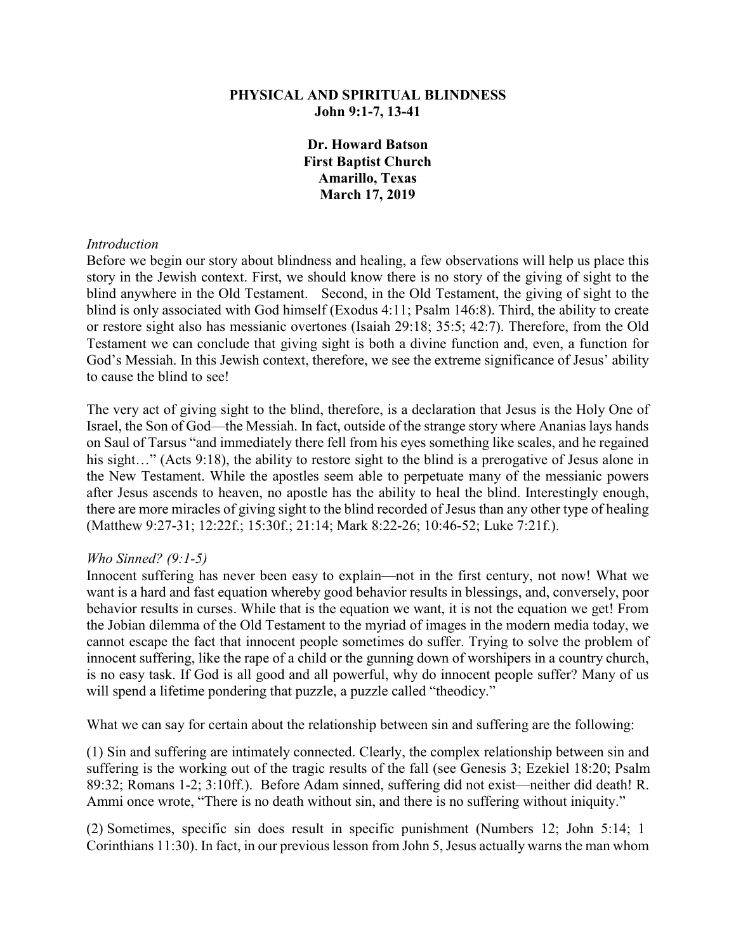# **PHYSICAL AND SPIRITUAL BLINDNESS John 9:1-7, 13-41**

**Dr. Howard Batson First Baptist Church Amarillo, Texas March 17, 2019** 

#### *Introduction*

Before we begin our story about blindness and healing, a few observations will help us place this story in the Jewish context. First, we should know there is no story of the giving of sight to the blind anywhere in the Old Testament. Second, in the Old Testament, the giving of sight to the blind is only associated with God himself (Exodus 4:11; Psalm 146:8). Third, the ability to create or restore sight also has messianic overtones (Isaiah 29:18; 35:5; 42:7). Therefore, from the Old Testament we can conclude that giving sight is both a divine function and, even, a function for God's Messiah. In this Jewish context, therefore, we see the extreme significance of Jesus' ability to cause the blind to see!

The very act of giving sight to the blind, therefore, is a declaration that Jesus is the Holy One of Israel, the Son of God—the Messiah. In fact, outside of the strange story where Ananias lays hands on Saul of Tarsus "and immediately there fell from his eyes something like scales, and he regained his sight…" (Acts 9:18), the ability to restore sight to the blind is a prerogative of Jesus alone in the New Testament. While the apostles seem able to perpetuate many of the messianic powers after Jesus ascends to heaven, no apostle has the ability to heal the blind. Interestingly enough, there are more miracles of giving sight to the blind recorded of Jesus than any other type of healing (Matthew 9:27-31; 12:22f.; 15:30f.; 21:14; Mark 8:22-26; 10:46-52; Luke 7:21f.).

### *Who Sinned? (9:1-5)*

Innocent suffering has never been easy to explain—not in the first century, not now! What we want is a hard and fast equation whereby good behavior results in blessings, and, conversely, poor behavior results in curses. While that is the equation we want, it is not the equation we get! From the Jobian dilemma of the Old Testament to the myriad of images in the modern media today, we cannot escape the fact that innocent people sometimes do suffer. Trying to solve the problem of innocent suffering, like the rape of a child or the gunning down of worshipers in a country church, is no easy task. If God is all good and all powerful, why do innocent people suffer? Many of us will spend a lifetime pondering that puzzle, a puzzle called "theodicy."

What we can say for certain about the relationship between sin and suffering are the following:

(1) Sin and suffering are intimately connected. Clearly, the complex relationship between sin and suffering is the working out of the tragic results of the fall (see Genesis 3; Ezekiel 18:20; Psalm 89:32; Romans 1-2; 3:10ff.). Before Adam sinned, suffering did not exist—neither did death! R. Ammi once wrote, "There is no death without sin, and there is no suffering without iniquity."

(2) Sometimes, specific sin does result in specific punishment (Numbers 12; John 5:14; 1 Corinthians 11:30). In fact, in our previous lesson from John 5, Jesus actually warns the man whom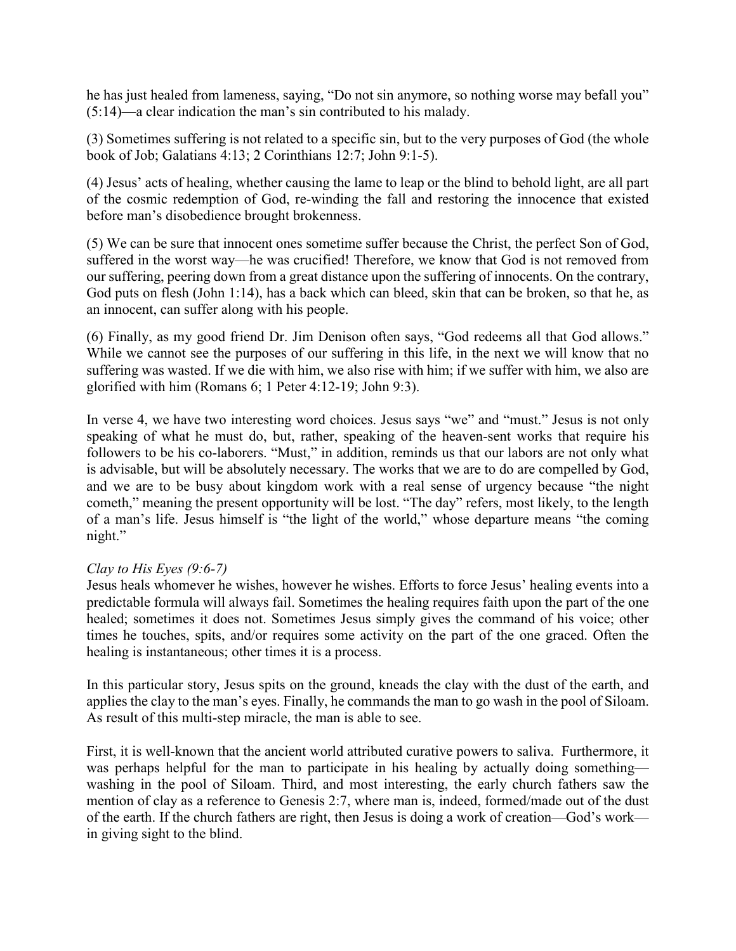he has just healed from lameness, saying, "Do not sin anymore, so nothing worse may befall you" (5:14)—a clear indication the man's sin contributed to his malady.

(3) Sometimes suffering is not related to a specific sin, but to the very purposes of God (the whole book of Job; Galatians 4:13; 2 Corinthians 12:7; John 9:1-5).

(4) Jesus' acts of healing, whether causing the lame to leap or the blind to behold light, are all part of the cosmic redemption of God, re-winding the fall and restoring the innocence that existed before man's disobedience brought brokenness.

(5) We can be sure that innocent ones sometime suffer because the Christ, the perfect Son of God, suffered in the worst way—he was crucified! Therefore, we know that God is not removed from our suffering, peering down from a great distance upon the suffering of innocents. On the contrary, God puts on flesh (John 1:14), has a back which can bleed, skin that can be broken, so that he, as an innocent, can suffer along with his people.

(6) Finally, as my good friend Dr. Jim Denison often says, "God redeems all that God allows." While we cannot see the purposes of our suffering in this life, in the next we will know that no suffering was wasted. If we die with him, we also rise with him; if we suffer with him, we also are glorified with him (Romans 6; 1 Peter 4:12-19; John 9:3).

In verse 4, we have two interesting word choices. Jesus says "we" and "must." Jesus is not only speaking of what he must do, but, rather, speaking of the heaven-sent works that require his followers to be his co-laborers. "Must," in addition, reminds us that our labors are not only what is advisable, but will be absolutely necessary. The works that we are to do are compelled by God, and we are to be busy about kingdom work with a real sense of urgency because "the night cometh," meaning the present opportunity will be lost. "The day" refers, most likely, to the length of a man's life. Jesus himself is "the light of the world," whose departure means "the coming night."

# *Clay to His Eyes (9:6-7)*

Jesus heals whomever he wishes, however he wishes. Efforts to force Jesus' healing events into a predictable formula will always fail. Sometimes the healing requires faith upon the part of the one healed; sometimes it does not. Sometimes Jesus simply gives the command of his voice; other times he touches, spits, and/or requires some activity on the part of the one graced. Often the healing is instantaneous; other times it is a process.

In this particular story, Jesus spits on the ground, kneads the clay with the dust of the earth, and applies the clay to the man's eyes. Finally, he commands the man to go wash in the pool of Siloam. As result of this multi-step miracle, the man is able to see.

First, it is well-known that the ancient world attributed curative powers to saliva. Furthermore, it was perhaps helpful for the man to participate in his healing by actually doing something washing in the pool of Siloam. Third, and most interesting, the early church fathers saw the mention of clay as a reference to Genesis 2:7, where man is, indeed, formed/made out of the dust of the earth. If the church fathers are right, then Jesus is doing a work of creation—God's work in giving sight to the blind.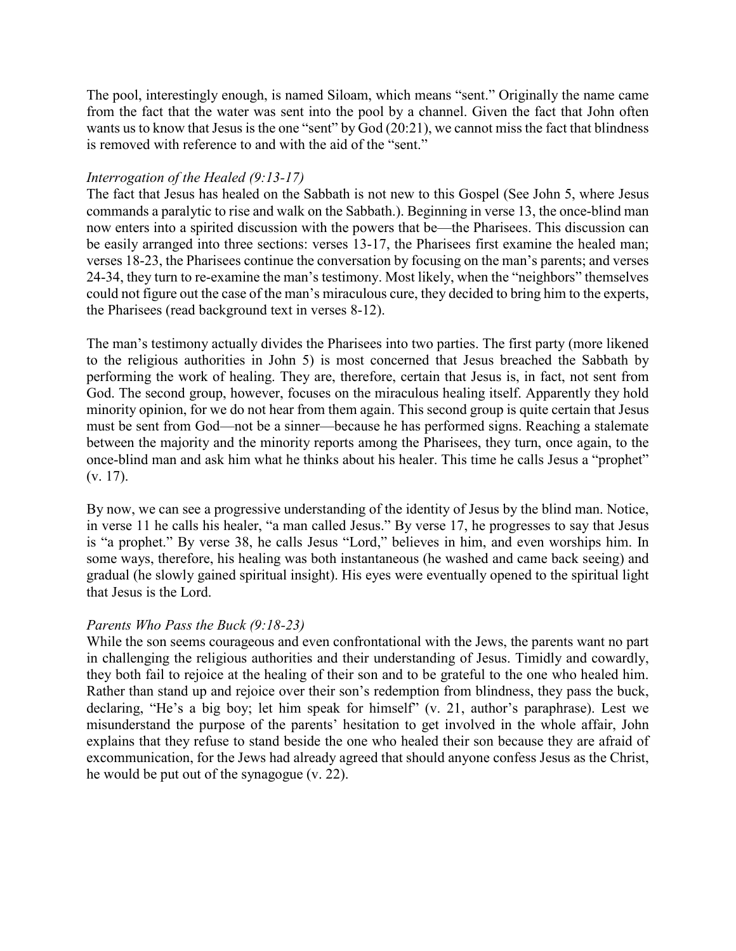The pool, interestingly enough, is named Siloam, which means "sent." Originally the name came from the fact that the water was sent into the pool by a channel. Given the fact that John often wants us to know that Jesus is the one "sent" by  $God(20:21)$ , we cannot miss the fact that blindness is removed with reference to and with the aid of the "sent."

# *Interrogation of the Healed (9:13-17)*

The fact that Jesus has healed on the Sabbath is not new to this Gospel (See John 5, where Jesus commands a paralytic to rise and walk on the Sabbath.). Beginning in verse 13, the once-blind man now enters into a spirited discussion with the powers that be—the Pharisees. This discussion can be easily arranged into three sections: verses 13-17, the Pharisees first examine the healed man; verses 18-23, the Pharisees continue the conversation by focusing on the man's parents; and verses 24-34, they turn to re-examine the man's testimony. Most likely, when the "neighbors" themselves could not figure out the case of the man's miraculous cure, they decided to bring him to the experts, the Pharisees (read background text in verses 8-12).

The man's testimony actually divides the Pharisees into two parties. The first party (more likened to the religious authorities in John 5) is most concerned that Jesus breached the Sabbath by performing the work of healing. They are, therefore, certain that Jesus is, in fact, not sent from God. The second group, however, focuses on the miraculous healing itself. Apparently they hold minority opinion, for we do not hear from them again. This second group is quite certain that Jesus must be sent from God—not be a sinner—because he has performed signs. Reaching a stalemate between the majority and the minority reports among the Pharisees, they turn, once again, to the once-blind man and ask him what he thinks about his healer. This time he calls Jesus a "prophet" (v. 17).

By now, we can see a progressive understanding of the identity of Jesus by the blind man. Notice, in verse 11 he calls his healer, "a man called Jesus." By verse 17, he progresses to say that Jesus is "a prophet." By verse 38, he calls Jesus "Lord," believes in him, and even worships him. In some ways, therefore, his healing was both instantaneous (he washed and came back seeing) and gradual (he slowly gained spiritual insight). His eyes were eventually opened to the spiritual light that Jesus is the Lord.

# *Parents Who Pass the Buck (9:18-23)*

While the son seems courageous and even confrontational with the Jews, the parents want no part in challenging the religious authorities and their understanding of Jesus. Timidly and cowardly, they both fail to rejoice at the healing of their son and to be grateful to the one who healed him. Rather than stand up and rejoice over their son's redemption from blindness, they pass the buck, declaring, "He's a big boy; let him speak for himself" (v. 21, author's paraphrase). Lest we misunderstand the purpose of the parents' hesitation to get involved in the whole affair, John explains that they refuse to stand beside the one who healed their son because they are afraid of excommunication, for the Jews had already agreed that should anyone confess Jesus as the Christ, he would be put out of the synagogue (v. 22).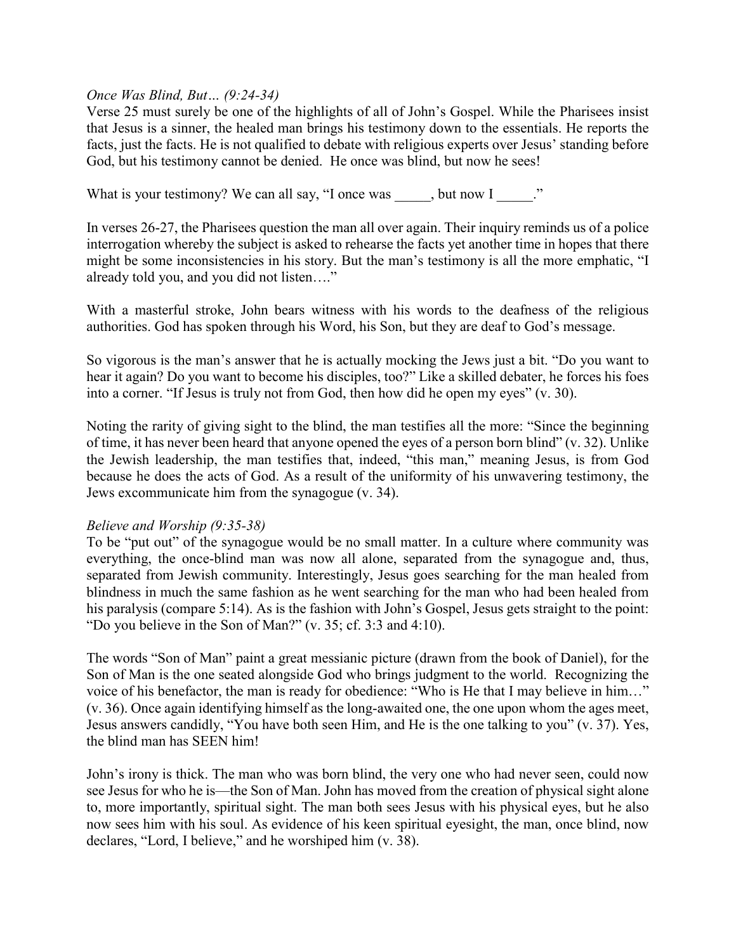# *Once Was Blind, But… (9:24-34)*

Verse 25 must surely be one of the highlights of all of John's Gospel. While the Pharisees insist that Jesus is a sinner, the healed man brings his testimony down to the essentials. He reports the facts, just the facts. He is not qualified to debate with religious experts over Jesus' standing before God, but his testimony cannot be denied. He once was blind, but now he sees!

What is your testimony? We can all say, "I once was , but now I ..."

In verses 26-27, the Pharisees question the man all over again. Their inquiry reminds us of a police interrogation whereby the subject is asked to rehearse the facts yet another time in hopes that there might be some inconsistencies in his story. But the man's testimony is all the more emphatic, "I already told you, and you did not listen…."

With a masterful stroke, John bears witness with his words to the deafness of the religious authorities. God has spoken through his Word, his Son, but they are deaf to God's message.

So vigorous is the man's answer that he is actually mocking the Jews just a bit. "Do you want to hear it again? Do you want to become his disciples, too?" Like a skilled debater, he forces his foes into a corner. "If Jesus is truly not from God, then how did he open my eyes" (v. 30).

Noting the rarity of giving sight to the blind, the man testifies all the more: "Since the beginning of time, it has never been heard that anyone opened the eyes of a person born blind" (v. 32). Unlike the Jewish leadership, the man testifies that, indeed, "this man," meaning Jesus, is from God because he does the acts of God. As a result of the uniformity of his unwavering testimony, the Jews excommunicate him from the synagogue (v. 34).

### *Believe and Worship (9:35-38)*

To be "put out" of the synagogue would be no small matter. In a culture where community was everything, the once-blind man was now all alone, separated from the synagogue and, thus, separated from Jewish community. Interestingly, Jesus goes searching for the man healed from blindness in much the same fashion as he went searching for the man who had been healed from his paralysis (compare 5:14). As is the fashion with John's Gospel, Jesus gets straight to the point: "Do you believe in the Son of Man?" (v. 35; cf. 3:3 and 4:10).

The words "Son of Man" paint a great messianic picture (drawn from the book of Daniel), for the Son of Man is the one seated alongside God who brings judgment to the world. Recognizing the voice of his benefactor, the man is ready for obedience: "Who is He that I may believe in him…" (v. 36). Once again identifying himself as the long-awaited one, the one upon whom the ages meet, Jesus answers candidly, "You have both seen Him, and He is the one talking to you" (v. 37). Yes, the blind man has SEEN him!

John's irony is thick. The man who was born blind, the very one who had never seen, could now see Jesus for who he is—the Son of Man. John has moved from the creation of physical sight alone to, more importantly, spiritual sight. The man both sees Jesus with his physical eyes, but he also now sees him with his soul. As evidence of his keen spiritual eyesight, the man, once blind, now declares, "Lord, I believe," and he worshiped him (v. 38).